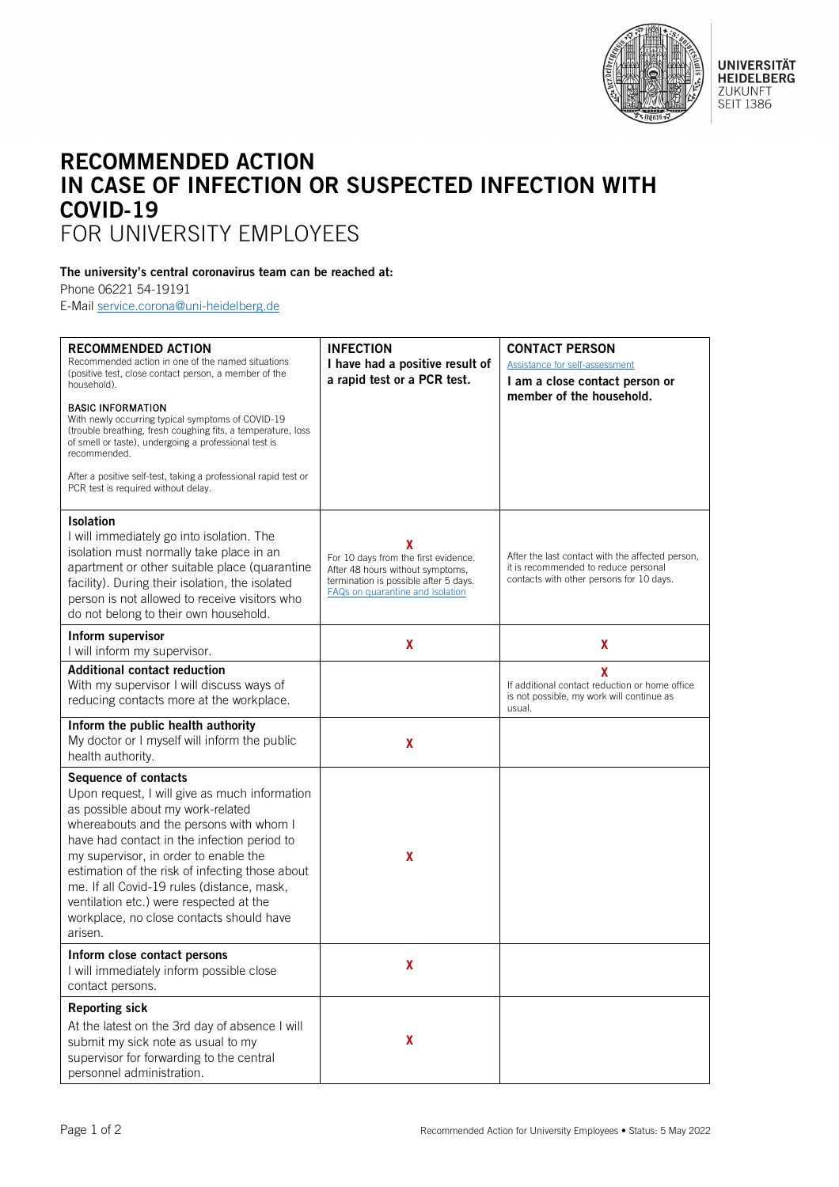

**UNIVERSITÄT<br>HEIDELBERG** ZUKUNFT **SEIT 1386** 

## RECOMMENDED ACTION IN CASE OF INFECTION OR SUSPECTED INFECTION WITH COVID-19 FOR UNIVERSITY EMPLOYEES

## The university's central coronavirus team can be reached at:

Phone 06221 54-19191

E-Mail [service.corona@uni-heidelberg.de](mailto:service.corona@uni-heidelberg.de)

| <b>RECOMMENDED ACTION</b><br>Recommended action in one of the named situations<br>(positive test, close contact person, a member of the<br>household).<br><b>BASIC INFORMATION</b><br>With newly occurring typical symptoms of COVID-19<br>(trouble breathing, fresh coughing fits, a temperature, loss<br>of smell or taste), undergoing a professional test is<br>recommended.<br>After a positive self-test, taking a professional rapid test or<br>PCR test is required without delay. | <b>INFECTION</b><br>I have had a positive result of<br>a rapid test or a PCR test.                                                                         | <b>CONTACT PERSON</b><br>Assistance for self-assessment<br>I am a close contact person or<br>member of the household.                |
|--------------------------------------------------------------------------------------------------------------------------------------------------------------------------------------------------------------------------------------------------------------------------------------------------------------------------------------------------------------------------------------------------------------------------------------------------------------------------------------------|------------------------------------------------------------------------------------------------------------------------------------------------------------|--------------------------------------------------------------------------------------------------------------------------------------|
| <b>Isolation</b><br>I will immediately go into isolation. The<br>isolation must normally take place in an<br>apartment or other suitable place (quarantine<br>facility). During their isolation, the isolated<br>person is not allowed to receive visitors who<br>do not belong to their own household.                                                                                                                                                                                    | X<br>For 10 days from the first evidence.<br>After 48 hours without symptoms,<br>termination is possible after 5 days.<br>FAQs on quarantine and isolation | After the last contact with the affected person,<br>it is recommended to reduce personal<br>contacts with other persons for 10 days. |
| Inform supervisor<br>I will inform my supervisor.                                                                                                                                                                                                                                                                                                                                                                                                                                          | X                                                                                                                                                          | X                                                                                                                                    |
| <b>Additional contact reduction</b><br>With my supervisor I will discuss ways of<br>reducing contacts more at the workplace.                                                                                                                                                                                                                                                                                                                                                               |                                                                                                                                                            | X<br>If additional contact reduction or home office<br>is not possible, my work will continue as<br>usual.                           |
| Inform the public health authority<br>My doctor or I myself will inform the public<br>health authority.                                                                                                                                                                                                                                                                                                                                                                                    | X                                                                                                                                                          |                                                                                                                                      |
| Sequence of contacts<br>Upon request, I will give as much information<br>as possible about my work-related<br>whereabouts and the persons with whom I<br>have had contact in the infection period to<br>my supervisor, in order to enable the<br>estimation of the risk of infecting those about<br>me. If all Covid-19 rules (distance, mask,<br>ventilation etc.) were respected at the<br>workplace, no close contacts should have<br>arisen.                                           | X                                                                                                                                                          |                                                                                                                                      |
| Inform close contact persons<br>I will immediately inform possible close<br>contact persons.                                                                                                                                                                                                                                                                                                                                                                                               | χ                                                                                                                                                          |                                                                                                                                      |
| <b>Reporting sick</b><br>At the latest on the 3rd day of absence I will<br>submit my sick note as usual to my<br>supervisor for forwarding to the central<br>personnel administration.                                                                                                                                                                                                                                                                                                     | X                                                                                                                                                          |                                                                                                                                      |